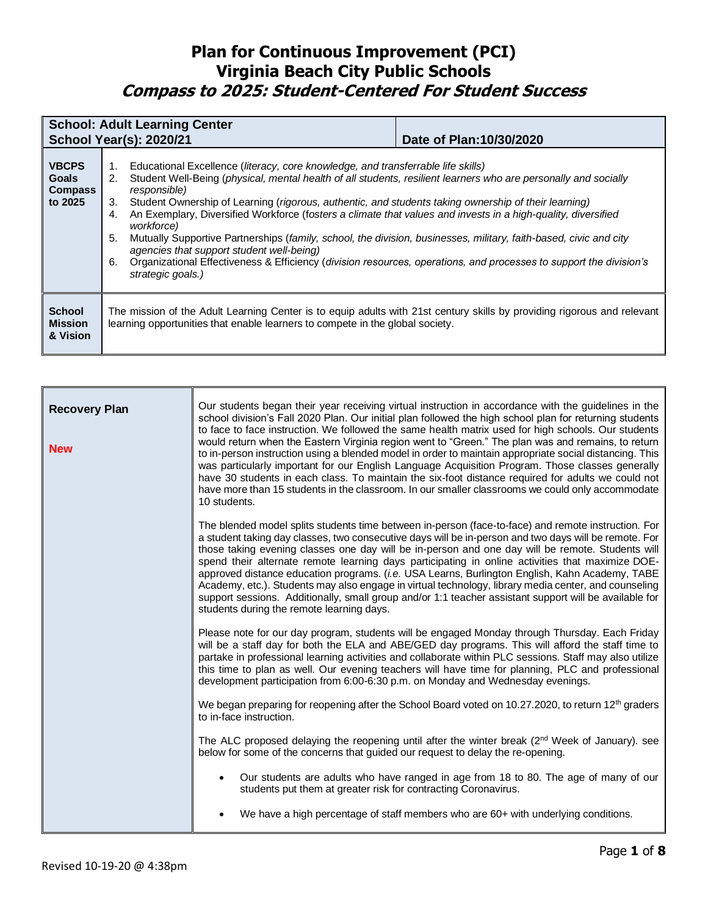|                                                           | <b>School: Adult Learning Center</b><br><b>School Year(s): 2020/21</b>                                                                                                                                                                                                                                                                                                                                                                                                                                                                                                                                                                                                                                                                                                                                      | Date of Plan: 10/30/2020 |  |
|-----------------------------------------------------------|-------------------------------------------------------------------------------------------------------------------------------------------------------------------------------------------------------------------------------------------------------------------------------------------------------------------------------------------------------------------------------------------------------------------------------------------------------------------------------------------------------------------------------------------------------------------------------------------------------------------------------------------------------------------------------------------------------------------------------------------------------------------------------------------------------------|--------------------------|--|
| <b>VBCPS</b><br><b>Goals</b><br><b>Compass</b><br>to 2025 | Educational Excellence (literacy, core knowledge, and transferrable life skills)<br>1.<br>Student Well-Being (physical, mental health of all students, resilient learners who are personally and socially<br>2.<br>responsible)<br>Student Ownership of Learning (rigorous, authentic, and students taking ownership of their learning)<br>3.<br>An Exemplary, Diversified Workforce (fosters a climate that values and invests in a high-quality, diversified<br>4.<br>workforce)<br>5.<br>Mutually Supportive Partnerships (family, school, the division, businesses, military, faith-based, civic and city<br>agencies that support student well-being)<br>Organizational Effectiveness & Efficiency (division resources, operations, and processes to support the division's<br>6.<br>strategic goals.) |                          |  |
| <b>School</b><br><b>Mission</b><br>& Vision               | The mission of the Adult Learning Center is to equip adults with 21st century skills by providing rigorous and relevant<br>learning opportunities that enable learners to compete in the global society.                                                                                                                                                                                                                                                                                                                                                                                                                                                                                                                                                                                                    |                          |  |

| <b>Recovery Plan</b><br><b>New</b> | Our students began their year receiving virtual instruction in accordance with the guidelines in the<br>school division's Fall 2020 Plan. Our initial plan followed the high school plan for returning students<br>to face to face instruction. We followed the same health matrix used for high schools. Our students<br>would return when the Eastern Virginia region went to "Green." The plan was and remains, to return<br>to in-person instruction using a blended model in order to maintain appropriate social distancing. This<br>was particularly important for our English Language Acquisition Program. Those classes generally<br>have 30 students in each class. To maintain the six-foot distance required for adults we could not<br>have more than 15 students in the classroom. In our smaller classrooms we could only accommodate<br>10 students. |  |
|------------------------------------|-----------------------------------------------------------------------------------------------------------------------------------------------------------------------------------------------------------------------------------------------------------------------------------------------------------------------------------------------------------------------------------------------------------------------------------------------------------------------------------------------------------------------------------------------------------------------------------------------------------------------------------------------------------------------------------------------------------------------------------------------------------------------------------------------------------------------------------------------------------------------|--|
|                                    | The blended model splits students time between in-person (face-to-face) and remote instruction. For<br>a student taking day classes, two consecutive days will be in-person and two days will be remote. For<br>those taking evening classes one day will be in-person and one day will be remote. Students will<br>spend their alternate remote learning days participating in online activities that maximize DOE-<br>approved distance education programs. (i.e. USA Learns, Burlington English, Kahn Academy, TABE<br>Academy, etc.). Students may also engage in virtual technology, library media center, and counseling<br>support sessions. Additionally, small group and/or 1:1 teacher assistant support will be available for<br>students during the remote learning days.                                                                                 |  |
|                                    | Please note for our day program, students will be engaged Monday through Thursday. Each Friday<br>will be a staff day for both the ELA and ABE/GED day programs. This will afford the staff time to<br>partake in professional learning activities and collaborate within PLC sessions. Staff may also utilize<br>this time to plan as well. Our evening teachers will have time for planning, PLC and professional<br>development participation from 6:00-6:30 p.m. on Monday and Wednesday evenings.<br>We began preparing for reopening after the School Board voted on 10.27.2020, to return 12 <sup>th</sup> graders                                                                                                                                                                                                                                             |  |
|                                    | to in-face instruction.<br>The ALC proposed delaying the reopening until after the winter break $(2^{nd}$ Week of January). see<br>below for some of the concerns that guided our request to delay the re-opening.                                                                                                                                                                                                                                                                                                                                                                                                                                                                                                                                                                                                                                                    |  |
|                                    | Our students are adults who have ranged in age from 18 to 80. The age of many of our<br>$\bullet$<br>students put them at greater risk for contracting Coronavirus.                                                                                                                                                                                                                                                                                                                                                                                                                                                                                                                                                                                                                                                                                                   |  |
|                                    | We have a high percentage of staff members who are 60+ with underlying conditions.<br>$\bullet$                                                                                                                                                                                                                                                                                                                                                                                                                                                                                                                                                                                                                                                                                                                                                                       |  |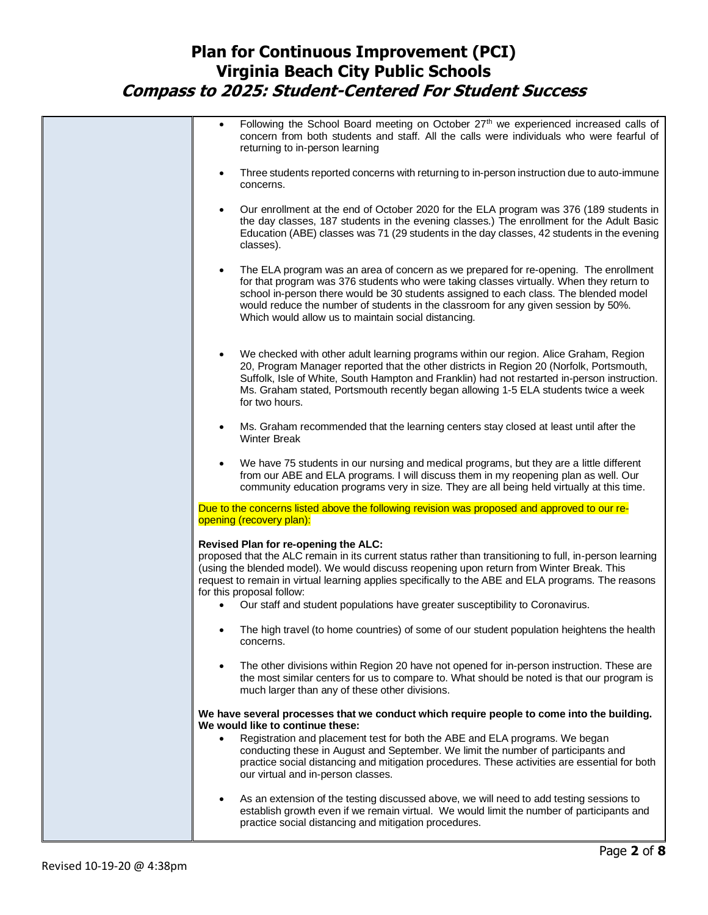| Following the School Board meeting on October 27 <sup>th</sup> we experienced increased calls of<br>$\bullet$<br>concern from both students and staff. All the calls were individuals who were fearful of<br>returning to in-person learning                                                                                                                                                                                                                                    |
|---------------------------------------------------------------------------------------------------------------------------------------------------------------------------------------------------------------------------------------------------------------------------------------------------------------------------------------------------------------------------------------------------------------------------------------------------------------------------------|
| Three students reported concerns with returning to in-person instruction due to auto-immune<br>$\bullet$<br>concerns.                                                                                                                                                                                                                                                                                                                                                           |
| Our enrollment at the end of October 2020 for the ELA program was 376 (189 students in<br>$\bullet$<br>the day classes, 187 students in the evening classes.) The enrollment for the Adult Basic<br>Education (ABE) classes was 71 (29 students in the day classes, 42 students in the evening<br>classes).                                                                                                                                                                     |
| The ELA program was an area of concern as we prepared for re-opening. The enrollment<br>$\bullet$<br>for that program was 376 students who were taking classes virtually. When they return to<br>school in-person there would be 30 students assigned to each class. The blended model<br>would reduce the number of students in the classroom for any given session by 50%.<br>Which would allow us to maintain social distancing.                                             |
| We checked with other adult learning programs within our region. Alice Graham, Region<br>$\bullet$<br>20, Program Manager reported that the other districts in Region 20 (Norfolk, Portsmouth,<br>Suffolk, Isle of White, South Hampton and Franklin) had not restarted in-person instruction.<br>Ms. Graham stated, Portsmouth recently began allowing 1-5 ELA students twice a week<br>for two hours.                                                                         |
| Ms. Graham recommended that the learning centers stay closed at least until after the<br>$\bullet$<br><b>Winter Break</b>                                                                                                                                                                                                                                                                                                                                                       |
| We have 75 students in our nursing and medical programs, but they are a little different<br>$\bullet$<br>from our ABE and ELA programs. I will discuss them in my reopening plan as well. Our<br>community education programs very in size. They are all being held virtually at this time.                                                                                                                                                                                     |
| Due to the concerns listed above the following revision was proposed and approved to our re-<br>opening (recovery plan):                                                                                                                                                                                                                                                                                                                                                        |
| Revised Plan for re-opening the ALC:<br>proposed that the ALC remain in its current status rather than transitioning to full, in-person learning<br>(using the blended model). We would discuss reopening upon return from Winter Break. This<br>request to remain in virtual learning applies specifically to the ABE and ELA programs. The reasons<br>for this proposal follow:<br>Our staff and student populations have greater susceptibility to Coronavirus.<br>$\bullet$ |
| The high travel (to home countries) of some of our student population heightens the health<br>concerns.                                                                                                                                                                                                                                                                                                                                                                         |
| The other divisions within Region 20 have not opened for in-person instruction. These are<br>$\bullet$<br>the most similar centers for us to compare to. What should be noted is that our program is<br>much larger than any of these other divisions.                                                                                                                                                                                                                          |
| We have several processes that we conduct which require people to come into the building.<br>We would like to continue these:                                                                                                                                                                                                                                                                                                                                                   |
| Registration and placement test for both the ABE and ELA programs. We began<br>$\bullet$<br>conducting these in August and September. We limit the number of participants and                                                                                                                                                                                                                                                                                                   |
| practice social distancing and mitigation procedures. These activities are essential for both<br>our virtual and in-person classes.                                                                                                                                                                                                                                                                                                                                             |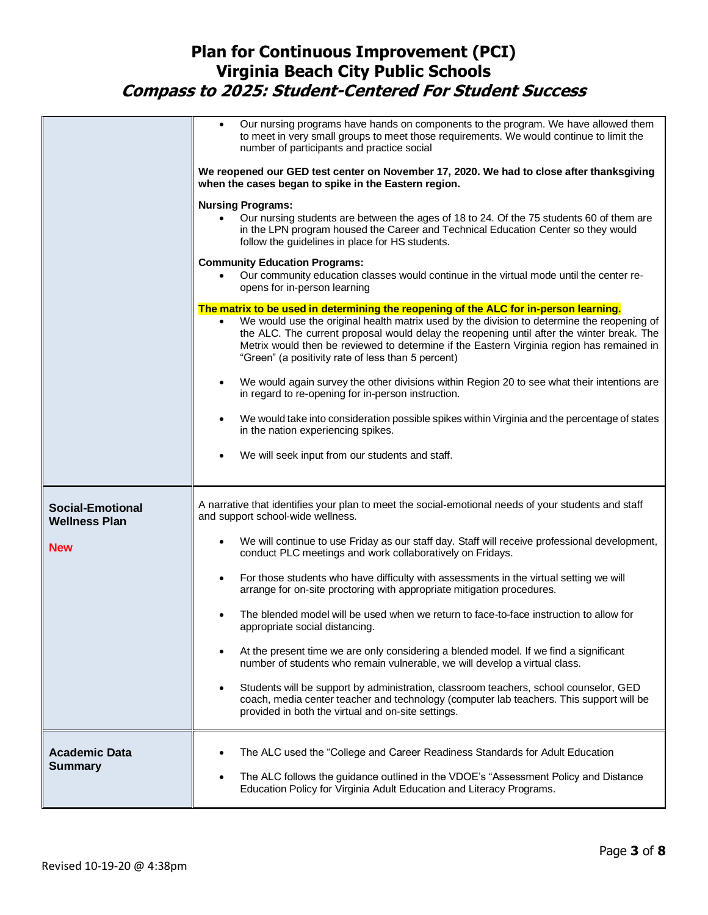|                                                 | Our nursing programs have hands on components to the program. We have allowed them<br>$\bullet$<br>to meet in very small groups to meet those requirements. We would continue to limit the<br>number of participants and practice social                                                                                                                                                                                            |  |
|-------------------------------------------------|-------------------------------------------------------------------------------------------------------------------------------------------------------------------------------------------------------------------------------------------------------------------------------------------------------------------------------------------------------------------------------------------------------------------------------------|--|
|                                                 | We reopened our GED test center on November 17, 2020. We had to close after thanksgiving<br>when the cases began to spike in the Eastern region.                                                                                                                                                                                                                                                                                    |  |
|                                                 | <b>Nursing Programs:</b><br>Our nursing students are between the ages of 18 to 24. Of the 75 students 60 of them are<br>in the LPN program housed the Career and Technical Education Center so they would<br>follow the guidelines in place for HS students.                                                                                                                                                                        |  |
|                                                 | <b>Community Education Programs:</b><br>Our community education classes would continue in the virtual mode until the center re-<br>$\bullet$<br>opens for in-person learning                                                                                                                                                                                                                                                        |  |
|                                                 | The matrix to be used in determining the reopening of the ALC for in-person learning.<br>We would use the original health matrix used by the division to determine the reopening of<br>the ALC. The current proposal would delay the reopening until after the winter break. The<br>Metrix would then be reviewed to determine if the Eastern Virginia region has remained in<br>"Green" (a positivity rate of less than 5 percent) |  |
|                                                 | We would again survey the other divisions within Region 20 to see what their intentions are<br>$\bullet$<br>in regard to re-opening for in-person instruction.                                                                                                                                                                                                                                                                      |  |
|                                                 | We would take into consideration possible spikes within Virginia and the percentage of states<br>$\bullet$<br>in the nation experiencing spikes.                                                                                                                                                                                                                                                                                    |  |
|                                                 | We will seek input from our students and staff.<br>٠                                                                                                                                                                                                                                                                                                                                                                                |  |
| <b>Social-Emotional</b><br><b>Wellness Plan</b> | A narrative that identifies your plan to meet the social-emotional needs of your students and staff<br>and support school-wide wellness.                                                                                                                                                                                                                                                                                            |  |
| <b>New</b>                                      | We will continue to use Friday as our staff day. Staff will receive professional development,<br>$\bullet$<br>conduct PLC meetings and work collaboratively on Fridays.                                                                                                                                                                                                                                                             |  |
|                                                 | For those students who have difficulty with assessments in the virtual setting we will<br>$\bullet$<br>arrange for on-site proctoring with appropriate mitigation procedures.                                                                                                                                                                                                                                                       |  |
|                                                 | The blended model will be used when we return to face-to-face instruction to allow for<br>$\bullet$<br>appropriate social distancing.                                                                                                                                                                                                                                                                                               |  |
|                                                 | At the present time we are only considering a blended model. If we find a significant<br>number of students who remain vulnerable, we will develop a virtual class.                                                                                                                                                                                                                                                                 |  |
|                                                 | Students will be support by administration, classroom teachers, school counselor, GED<br>$\bullet$<br>coach, media center teacher and technology (computer lab teachers. This support will be<br>provided in both the virtual and on-site settings.                                                                                                                                                                                 |  |
| <b>Academic Data</b><br><b>Summary</b>          | The ALC used the "College and Career Readiness Standards for Adult Education<br>The ALC follows the guidance outlined in the VDOE's "Assessment Policy and Distance<br>$\bullet$<br>Education Policy for Virginia Adult Education and Literacy Programs.                                                                                                                                                                            |  |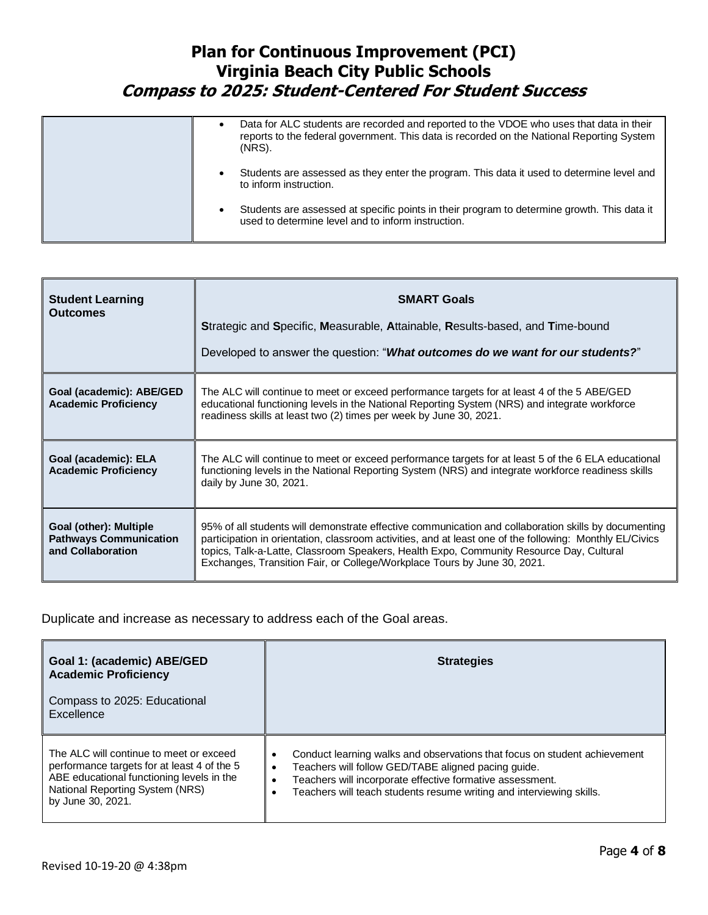| Data for ALC students are recorded and reported to the VDOE who uses that data in their<br>٠<br>reports to the federal government. This data is recorded on the National Reporting System<br>(NRS). |
|-----------------------------------------------------------------------------------------------------------------------------------------------------------------------------------------------------|
| Students are assessed as they enter the program. This data it used to determine level and<br>٠<br>to inform instruction.                                                                            |
| Students are assessed at specific points in their program to determine growth. This data it<br>٠<br>used to determine level and to inform instruction.                                              |

| <b>Student Learning</b><br><b>Outcomes</b>                                   | <b>SMART Goals</b><br>Strategic and Specific, Measurable, Attainable, Results-based, and Time-bound<br>Developed to answer the question: "What outcomes do we want for our students?"                                                                                                                                                                                                   |  |
|------------------------------------------------------------------------------|-----------------------------------------------------------------------------------------------------------------------------------------------------------------------------------------------------------------------------------------------------------------------------------------------------------------------------------------------------------------------------------------|--|
| Goal (academic): ABE/GED<br><b>Academic Proficiency</b>                      | The ALC will continue to meet or exceed performance targets for at least 4 of the 5 ABE/GED<br>educational functioning levels in the National Reporting System (NRS) and integrate workforce<br>readiness skills at least two (2) times per week by June 30, 2021.                                                                                                                      |  |
| Goal (academic): ELA<br><b>Academic Proficiency</b>                          | The ALC will continue to meet or exceed performance targets for at least 5 of the 6 ELA educational<br>functioning levels in the National Reporting System (NRS) and integrate workforce readiness skills<br>daily by June 30, 2021.                                                                                                                                                    |  |
| Goal (other): Multiple<br><b>Pathways Communication</b><br>and Collaboration | 95% of all students will demonstrate effective communication and collaboration skills by documenting<br>participation in orientation, classroom activities, and at least one of the following: Monthly EL/Civics<br>topics, Talk-a-Latte, Classroom Speakers, Health Expo, Community Resource Day, Cultural<br>Exchanges, Transition Fair, or College/Workplace Tours by June 30, 2021. |  |

Duplicate and increase as necessary to address each of the Goal areas.

| Goal 1: (academic) ABE/GED<br><b>Academic Proficiency</b><br>Compass to 2025: Educational<br>Excellence                                                                                     | <b>Strategies</b>                                                                                                                                                                                                                                                          |  |
|---------------------------------------------------------------------------------------------------------------------------------------------------------------------------------------------|----------------------------------------------------------------------------------------------------------------------------------------------------------------------------------------------------------------------------------------------------------------------------|--|
|                                                                                                                                                                                             |                                                                                                                                                                                                                                                                            |  |
| The ALC will continue to meet or exceed<br>performance targets for at least 4 of the 5<br>ABE educational functioning levels in the<br>National Reporting System (NRS)<br>by June 30, 2021. | Conduct learning walks and observations that focus on student achievement<br>٠<br>Teachers will follow GED/TABE aligned pacing guide.<br>Teachers will incorporate effective formative assessment.<br>Teachers will teach students resume writing and interviewing skills. |  |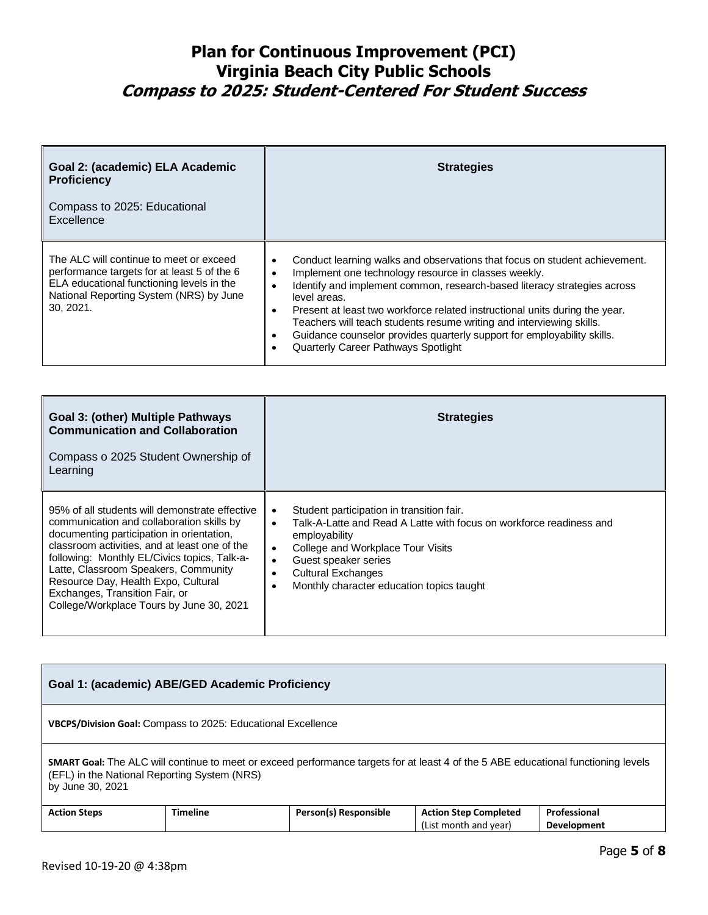| Goal 2: (academic) ELA Academic<br><b>Proficiency</b><br>Compass to 2025: Educational<br>Excellence                                                                                         | <b>Strategies</b>                                                                                                                                                                                                                                                                                                                                                                                                                                                                                       |
|---------------------------------------------------------------------------------------------------------------------------------------------------------------------------------------------|---------------------------------------------------------------------------------------------------------------------------------------------------------------------------------------------------------------------------------------------------------------------------------------------------------------------------------------------------------------------------------------------------------------------------------------------------------------------------------------------------------|
| The ALC will continue to meet or exceed<br>performance targets for at least 5 of the 6<br>ELA educational functioning levels in the<br>National Reporting System (NRS) by June<br>30. 2021. | Conduct learning walks and observations that focus on student achievement.<br>Implement one technology resource in classes weekly.<br>Identify and implement common, research-based literacy strategies across<br>level areas.<br>Present at least two workforce related instructional units during the year.<br>Teachers will teach students resume writing and interviewing skills.<br>Guidance counselor provides quarterly support for employability skills.<br>Quarterly Career Pathways Spotlight |

| <b>Goal 3: (other) Multiple Pathways</b><br><b>Communication and Collaboration</b><br>Compass o 2025 Student Ownership of<br>Learning                                                                                                                                                                                                                                                                  | <b>Strategies</b>                                                                                                                                                                                                                                                                     |
|--------------------------------------------------------------------------------------------------------------------------------------------------------------------------------------------------------------------------------------------------------------------------------------------------------------------------------------------------------------------------------------------------------|---------------------------------------------------------------------------------------------------------------------------------------------------------------------------------------------------------------------------------------------------------------------------------------|
| 95% of all students will demonstrate effective<br>communication and collaboration skills by<br>documenting participation in orientation,<br>classroom activities, and at least one of the<br>following: Monthly EL/Civics topics, Talk-a-<br>Latte, Classroom Speakers, Community<br>Resource Day, Health Expo, Cultural<br>Exchanges, Transition Fair, or<br>College/Workplace Tours by June 30, 2021 | Student participation in transition fair.<br>Talk-A-Latte and Read A Latte with focus on workforce readiness and<br>$\bullet$<br>employability<br>College and Workplace Tour Visits<br>Guest speaker series<br><b>Cultural Exchanges</b><br>Monthly character education topics taught |

| Goal 1: (academic) ABE/GED Academic Proficiency                                                                                                                                                               |                 |                       |                              |              |
|---------------------------------------------------------------------------------------------------------------------------------------------------------------------------------------------------------------|-----------------|-----------------------|------------------------------|--------------|
| VBCPS/Division Goal: Compass to 2025: Educational Excellence                                                                                                                                                  |                 |                       |                              |              |
| <b>SMART Goal:</b> The ALC will continue to meet or exceed performance targets for at least 4 of the 5 ABE educational functioning levels<br>(EFL) in the National Reporting System (NRS)<br>by June 30, 2021 |                 |                       |                              |              |
| <b>Action Steps</b>                                                                                                                                                                                           | <b>Timeline</b> | Person(s) Responsible | <b>Action Step Completed</b> | Professional |
|                                                                                                                                                                                                               |                 |                       | (List month and year)        | Development  |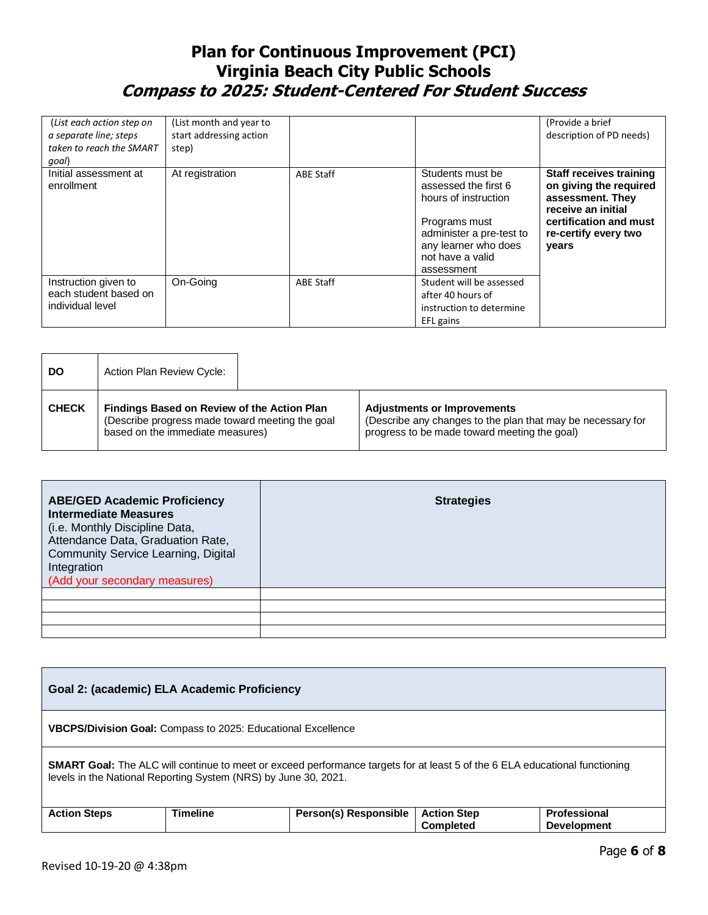| (List each action step on<br>a separate line; steps<br>taken to reach the SMART<br>qoal) | (List month and year to<br>start addressing action<br>step) |                  |                                                                                                                                                                         | (Provide a brief<br>description of PD needs)                                                                                                                  |
|------------------------------------------------------------------------------------------|-------------------------------------------------------------|------------------|-------------------------------------------------------------------------------------------------------------------------------------------------------------------------|---------------------------------------------------------------------------------------------------------------------------------------------------------------|
| Initial assessment at<br>enrollment                                                      | At registration                                             | <b>ABE Staff</b> | Students must be<br>assessed the first 6<br>hours of instruction<br>Programs must<br>administer a pre-test to<br>any learner who does<br>not have a valid<br>assessment | <b>Staff receives training</b><br>on giving the required<br>assessment. They<br>receive an initial<br>certification and must<br>re-certify every two<br>years |
| Instruction given to<br>each student based on<br>individual level                        | On-Going                                                    | <b>ABE Staff</b> | Student will be assessed<br>after 40 hours of<br>instruction to determine<br>EFL gains                                                                                  |                                                                                                                                                               |

| <b>DO</b>    | Action Plan Review Cycle:                                                                                                                 |  |                                                                                                                                                   |
|--------------|-------------------------------------------------------------------------------------------------------------------------------------------|--|---------------------------------------------------------------------------------------------------------------------------------------------------|
| <b>CHECK</b> | <b>Findings Based on Review of the Action Plan</b><br>(Describe progress made toward meeting the goal<br>based on the immediate measures) |  | <b>Adjustments or Improvements</b><br>(Describe any changes to the plan that may be necessary for<br>progress to be made toward meeting the goal) |

| <b>ABE/GED Academic Proficiency</b><br><b>Intermediate Measures</b><br>(i.e. Monthly Discipline Data,<br>Attendance Data, Graduation Rate,<br><b>Community Service Learning, Digital</b><br>Integration<br>(Add your secondary measures) | <b>Strategies</b> |
|------------------------------------------------------------------------------------------------------------------------------------------------------------------------------------------------------------------------------------------|-------------------|
|                                                                                                                                                                                                                                          |                   |
|                                                                                                                                                                                                                                          |                   |
|                                                                                                                                                                                                                                          |                   |
|                                                                                                                                                                                                                                          |                   |

| Goal 2: (academic) ELA Academic Proficiency                                                                                                                                                           |                 |                       |                                        |                                    |
|-------------------------------------------------------------------------------------------------------------------------------------------------------------------------------------------------------|-----------------|-----------------------|----------------------------------------|------------------------------------|
| <b>VBCPS/Division Goal:</b> Compass to 2025: Educational Excellence                                                                                                                                   |                 |                       |                                        |                                    |
| <b>SMART Goal:</b> The ALC will continue to meet or exceed performance targets for at least 5 of the 6 ELA educational functioning<br>levels in the National Reporting System (NRS) by June 30, 2021. |                 |                       |                                        |                                    |
| <b>Action Steps</b>                                                                                                                                                                                   | <b>Timeline</b> | Person(s) Responsible | <b>Action Step</b><br><b>Completed</b> | Professional<br><b>Development</b> |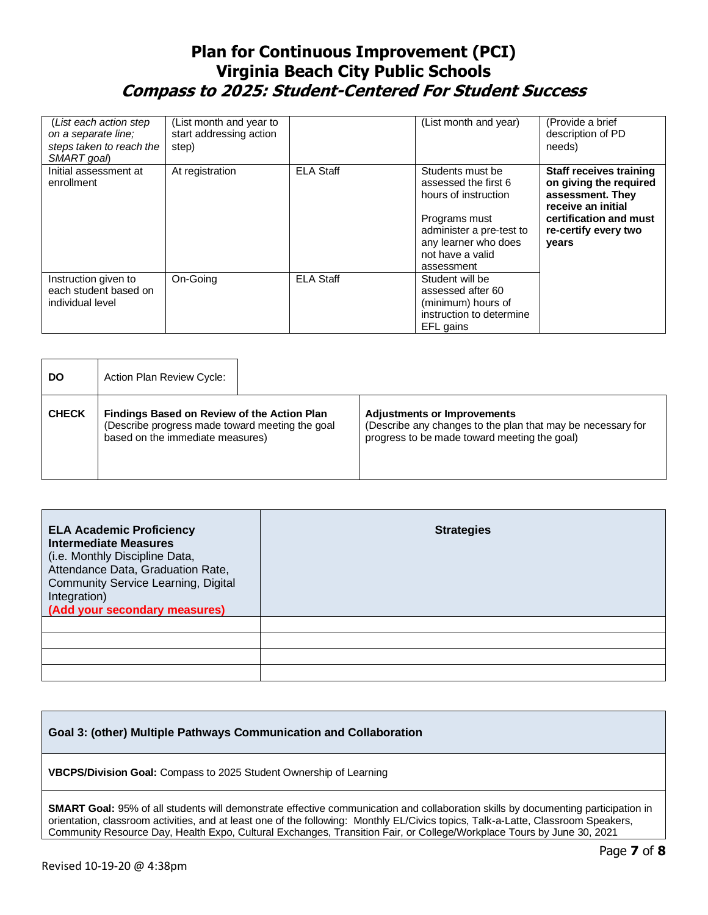| (List each action step)<br>on a separate line;<br>steps taken to reach the<br>SMART goal | (List month and year to<br>start addressing action<br>step) |                  | (List month and year)                                                                                                                                                   | (Provide a brief<br>description of PD<br>needs)                                                                                                               |
|------------------------------------------------------------------------------------------|-------------------------------------------------------------|------------------|-------------------------------------------------------------------------------------------------------------------------------------------------------------------------|---------------------------------------------------------------------------------------------------------------------------------------------------------------|
| Initial assessment at<br>enrollment                                                      | At registration                                             | <b>ELA Staff</b> | Students must be<br>assessed the first 6<br>hours of instruction<br>Programs must<br>administer a pre-test to<br>any learner who does<br>not have a valid<br>assessment | <b>Staff receives training</b><br>on giving the required<br>assessment. They<br>receive an initial<br>certification and must<br>re-certify every two<br>years |
| Instruction given to<br>each student based on<br>individual level                        | On-Going                                                    | <b>ELA Staff</b> | Student will be<br>assessed after 60<br>(minimum) hours of<br>instruction to determine<br>EFL gains                                                                     |                                                                                                                                                               |

| <b>DO</b>    | <b>Action Plan Review Cycle:</b>                                                                                                          |                                                                                                                                                   |
|--------------|-------------------------------------------------------------------------------------------------------------------------------------------|---------------------------------------------------------------------------------------------------------------------------------------------------|
| <b>CHECK</b> | <b>Findings Based on Review of the Action Plan</b><br>(Describe progress made toward meeting the goal<br>based on the immediate measures) | <b>Adjustments or Improvements</b><br>(Describe any changes to the plan that may be necessary for<br>progress to be made toward meeting the goal) |

| <b>ELA Academic Proficiency</b><br><b>Intermediate Measures</b><br>(i.e. Monthly Discipline Data,<br>Attendance Data, Graduation Rate,<br><b>Community Service Learning, Digital</b><br>Integration)<br>(Add your secondary measures) | <b>Strategies</b> |
|---------------------------------------------------------------------------------------------------------------------------------------------------------------------------------------------------------------------------------------|-------------------|
|                                                                                                                                                                                                                                       |                   |
|                                                                                                                                                                                                                                       |                   |

| Goal 3: (other) Multiple Pathways Communication and Collaboration         |  |  |
|---------------------------------------------------------------------------|--|--|
| <b>VBCPS/Division Goal:</b> Compass to 2025 Student Ownership of Learning |  |  |

**SMART Goal:** 95% of all students will demonstrate effective communication and collaboration skills by documenting participation in orientation, classroom activities, and at least one of the following: Monthly EL/Civics topics, Talk-a-Latte, Classroom Speakers, Community Resource Day, Health Expo, Cultural Exchanges, Transition Fair, or College/Workplace Tours by June 30, 2021